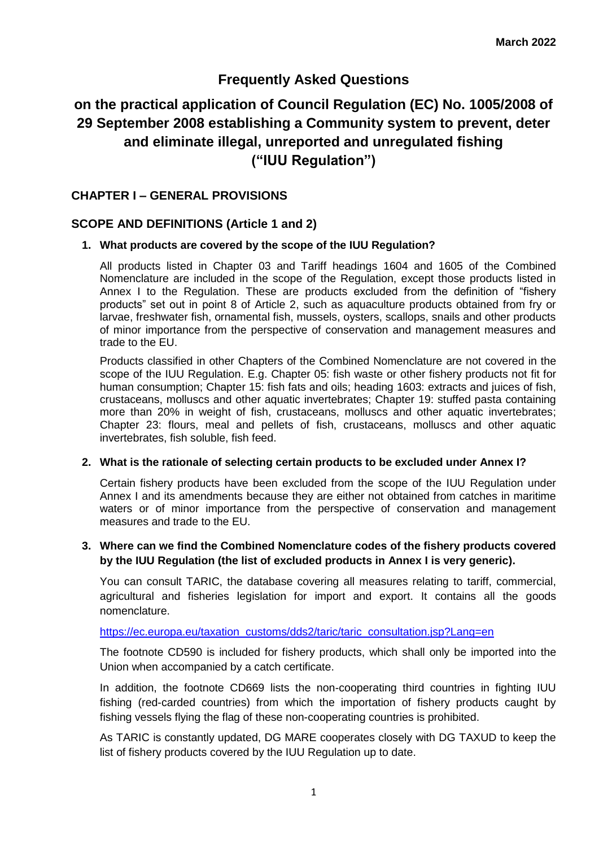# **Frequently Asked Questions**

# **on the practical application of Council Regulation (EC) No. 1005/2008 of 29 September 2008 establishing a Community system to prevent, deter and eliminate illegal, unreported and unregulated fishing ("IUU Regulation")**

# **CHAPTER I – GENERAL PROVISIONS**

### **SCOPE AND DEFINITIONS (Article 1 and 2)**

### **1. What products are covered by the scope of the IUU Regulation?**

All products listed in Chapter 03 and Tariff headings 1604 and 1605 of the Combined Nomenclature are included in the scope of the Regulation, except those products listed in Annex I to the Regulation. These are products excluded from the definition of "fishery products" set out in point 8 of Article 2, such as aquaculture products obtained from fry or larvae, freshwater fish, ornamental fish, mussels, oysters, scallops, snails and other products of minor importance from the perspective of conservation and management measures and trade to the EU.

Products classified in other Chapters of the Combined Nomenclature are not covered in the scope of the IUU Regulation. E.g. Chapter 05: fish waste or other fishery products not fit for human consumption; Chapter 15: fish fats and oils; heading 1603: extracts and juices of fish, crustaceans, molluscs and other aquatic invertebrates; Chapter 19: stuffed pasta containing more than 20% in weight of fish, crustaceans, molluscs and other aquatic invertebrates; Chapter 23: flours, meal and pellets of fish, crustaceans, molluscs and other aquatic invertebrates, fish soluble, fish feed.

#### **2. What is the rationale of selecting certain products to be excluded under Annex I?**

Certain fishery products have been excluded from the scope of the IUU Regulation under Annex I and its amendments because they are either not obtained from catches in maritime waters or of minor importance from the perspective of conservation and management measures and trade to the EU.

### **3. Where can we find the Combined Nomenclature codes of the fishery products covered by the IUU Regulation (the list of excluded products in Annex I is very generic).**

You can consult TARIC, the database covering all measures relating to tariff, commercial, agricultural and fisheries legislation for import and export. It contains all the goods nomenclature.

### https://ec.europa.eu/taxation\_customs/dds2/taric/taric\_consultation.jsp?Lang=en

The footnote CD590 is included for fishery products, which shall only be imported into the Union when accompanied by a catch certificate.

In addition, the footnote CD669 lists the non-cooperating third countries in fighting IUU fishing (red-carded countries) from which the importation of fishery products caught by fishing vessels flying the flag of these non-cooperating countries is prohibited.

As TARIC is constantly updated, DG MARE cooperates closely with DG TAXUD to keep the list of fishery products covered by the IUU Regulation up to date.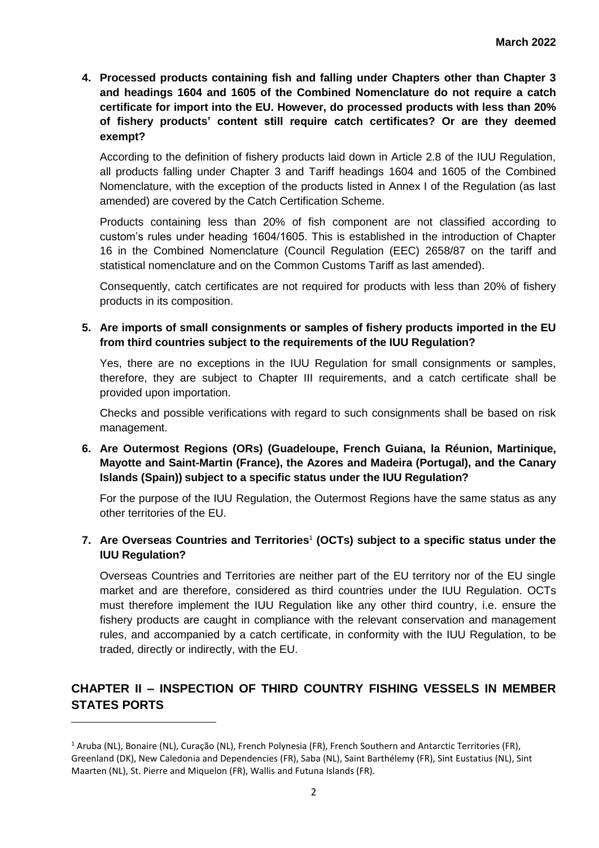**4. Processed products containing fish and falling under Chapters other than Chapter 3 and headings 1604 and 1605 of the Combined Nomenclature do not require a catch certificate for import into the EU. However, do processed products with less than 20% of fishery products' content still require catch certificates? Or are they deemed exempt?** 

According to the definition of fishery products laid down in Article 2.8 of the IUU Regulation, all products falling under Chapter 3 and Tariff headings 1604 and 1605 of the Combined Nomenclature, with the exception of the products listed in Annex I of the Regulation (as last amended) are covered by the Catch Certification Scheme.

Products containing less than 20% of fish component are not classified according to custom's rules under heading 1604/1605. This is established in the introduction of Chapter 16 in the Combined Nomenclature (Council Regulation (EEC) 2658/87 on the tariff and statistical nomenclature and on the Common Customs Tariff as last amended).

Consequently, catch certificates are not required for products with less than 20% of fishery products in its composition.

**5. Are imports of small consignments or samples of fishery products imported in the EU from third countries subject to the requirements of the IUU Regulation?** 

Yes, there are no exceptions in the IUU Regulation for small consignments or samples, therefore, they are subject to Chapter III requirements, and a catch certificate shall be provided upon importation.

Checks and possible verifications with regard to such consignments shall be based on risk management.

**6. Are Outermost Regions (ORs) (Guadeloupe, French Guiana, la Réunion, Martinique, Mayotte and Saint-Martin (France), the Azores and Madeira (Portugal), and the Canary Islands (Spain)) subject to a specific status under the IUU Regulation?**

For the purpose of the IUU Regulation, the Outermost Regions have the same status as any other territories of the EU.

### **7. Are Overseas Countries and Territories**<sup>1</sup> **(OCTs) subject to a specific status under the IUU Regulation?**

Overseas Countries and Territories are neither part of the EU territory nor of the EU single market and are therefore, considered as third countries under the IUU Regulation. OCTs must therefore implement the IUU Regulation like any other third country, i.e. ensure the fishery products are caught in compliance with the relevant conservation and management rules, and accompanied by a catch certificate, in conformity with the IUU Regulation, to be traded, directly or indirectly, with the EU.

# **CHAPTER II – INSPECTION OF THIRD COUNTRY FISHING VESSELS IN MEMBER STATES PORTS**

 $\overline{\phantom{a}}$ 

<sup>1</sup> Aruba (NL), Bonaire (NL), Curação (NL), French Polynesia (FR), French Southern and Antarctic Territories (FR), Greenland (DK), New Caledonia and Dependencies (FR), Saba (NL), Saint Barthélemy (FR), Sint Eustatius (NL), Sint Maarten (NL), St. Pierre and Miquelon (FR), Wallis and Futuna Islands (FR).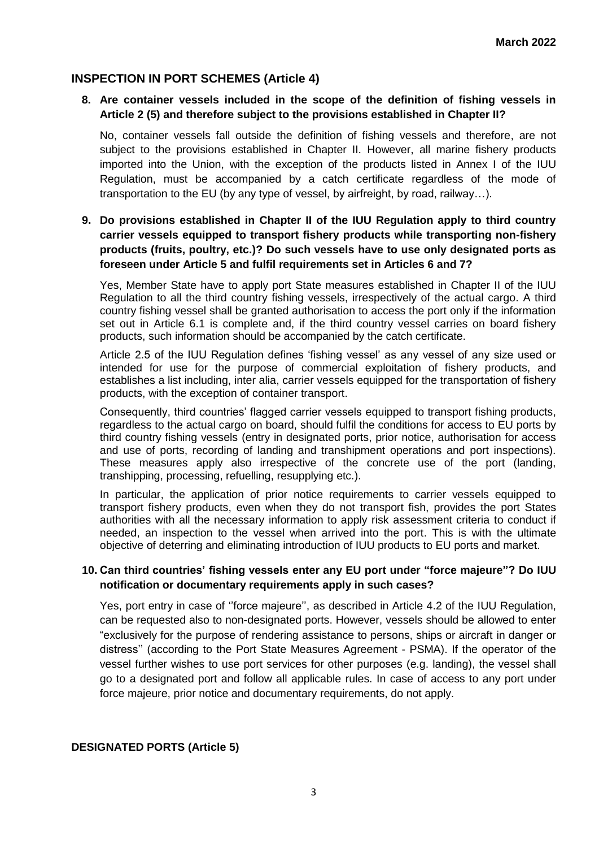# **INSPECTION IN PORT SCHEMES (Article 4)**

# **8. Are container vessels included in the scope of the definition of fishing vessels in Article 2 (5) and therefore subject to the provisions established in Chapter II?**

No, container vessels fall outside the definition of fishing vessels and therefore, are not subject to the provisions established in Chapter II. However, all marine fishery products imported into the Union, with the exception of the products listed in Annex I of the IUU Regulation, must be accompanied by a catch certificate regardless of the mode of transportation to the EU (by any type of vessel, by airfreight, by road, railway…).

# **9. Do provisions established in Chapter II of the IUU Regulation apply to third country carrier vessels equipped to transport fishery products while transporting non-fishery products (fruits, poultry, etc.)? Do such vessels have to use only designated ports as foreseen under Article 5 and fulfil requirements set in Articles 6 and 7?**

Yes, Member State have to apply port State measures established in Chapter II of the IUU Regulation to all the third country fishing vessels, irrespectively of the actual cargo. A third country fishing vessel shall be granted authorisation to access the port only if the information set out in Article 6.1 is complete and, if the third country vessel carries on board fishery products, such information should be accompanied by the catch certificate.

Article 2.5 of the IUU Regulation defines 'fishing vessel' as any vessel of any size used or intended for use for the purpose of commercial exploitation of fishery products, and establishes a list including, inter alia, carrier vessels equipped for the transportation of fishery products, with the exception of container transport.

Consequently, third countries' flagged carrier vessels equipped to transport fishing products, regardless to the actual cargo on board, should fulfil the conditions for access to EU ports by third country fishing vessels (entry in designated ports, prior notice, authorisation for access and use of ports, recording of landing and transhipment operations and port inspections). These measures apply also irrespective of the concrete use of the port (landing, transhipping, processing, refuelling, resupplying etc.).

In particular, the application of prior notice requirements to carrier vessels equipped to transport fishery products, even when they do not transport fish, provides the port States authorities with all the necessary information to apply risk assessment criteria to conduct if needed, an inspection to the vessel when arrived into the port. This is with the ultimate objective of deterring and eliminating introduction of IUU products to EU ports and market.

### **10. Can third countries' fishing vessels enter any EU port under "force majeure"? Do IUU notification or documentary requirements apply in such cases?**

Yes, port entry in case of ''force majeure'', as described in Article 4.2 of the IUU Regulation, can be requested also to non-designated ports. However, vessels should be allowed to enter "exclusively for the purpose of rendering assistance to persons, ships or aircraft in danger or distress'' (according to the Port State Measures Agreement - PSMA). If the operator of the vessel further wishes to use port services for other purposes (e.g. landing), the vessel shall go to a designated port and follow all applicable rules. In case of access to any port under force majeure, prior notice and documentary requirements, do not apply.

# **DESIGNATED PORTS (Article 5)**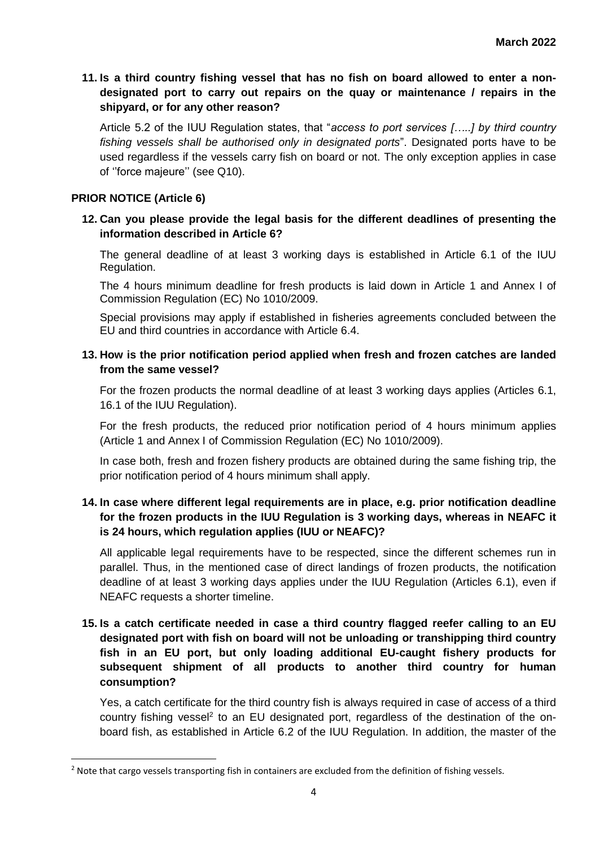# **11. Is a third country fishing vessel that has no fish on board allowed to enter a nondesignated port to carry out repairs on the quay or maintenance / repairs in the shipyard, or for any other reason?**

Article 5.2 of the IUU Regulation states, that "*access to port services […..] by third country fishing vessels shall be authorised only in designated ports*". Designated ports have to be used regardless if the vessels carry fish on board or not. The only exception applies in case of ''force majeure'' (see Q10).

### **PRIOR NOTICE (Article 6)**

 $\overline{\phantom{a}}$ 

### **12. Can you please provide the legal basis for the different deadlines of presenting the information described in Article 6?**

The general deadline of at least 3 working days is established in Article 6.1 of the IUU Regulation.

The 4 hours minimum deadline for fresh products is laid down in Article 1 and Annex I of Commission Regulation (EC) No 1010/2009.

Special provisions may apply if established in fisheries agreements concluded between the EU and third countries in accordance with Article 6.4.

### **13. How is the prior notification period applied when fresh and frozen catches are landed from the same vessel?**

For the frozen products the normal deadline of at least 3 working days applies (Articles 6.1, 16.1 of the IUU Regulation).

For the fresh products, the reduced prior notification period of 4 hours minimum applies (Article 1 and Annex I of Commission Regulation (EC) No 1010/2009).

In case both, fresh and frozen fishery products are obtained during the same fishing trip, the prior notification period of 4 hours minimum shall apply.

# **14. In case where different legal requirements are in place, e.g. prior notification deadline for the frozen products in the IUU Regulation is 3 working days, whereas in NEAFC it is 24 hours, which regulation applies (IUU or NEAFC)?**

All applicable legal requirements have to be respected, since the different schemes run in parallel. Thus, in the mentioned case of direct landings of frozen products, the notification deadline of at least 3 working days applies under the IUU Regulation (Articles 6.1), even if NEAFC requests a shorter timeline.

# **15. Is a catch certificate needed in case a third country flagged reefer calling to an EU designated port with fish on board will not be unloading or transhipping third country fish in an EU port, but only loading additional EU-caught fishery products for subsequent shipment of all products to another third country for human consumption?**

Yes, a catch certificate for the third country fish is always required in case of access of a third country fishing vessel<sup>2</sup> to an EU designated port, regardless of the destination of the onboard fish, as established in Article 6.2 of the IUU Regulation. In addition, the master of the

<sup>&</sup>lt;sup>2</sup> Note that cargo vessels transporting fish in containers are excluded from the definition of fishing vessels.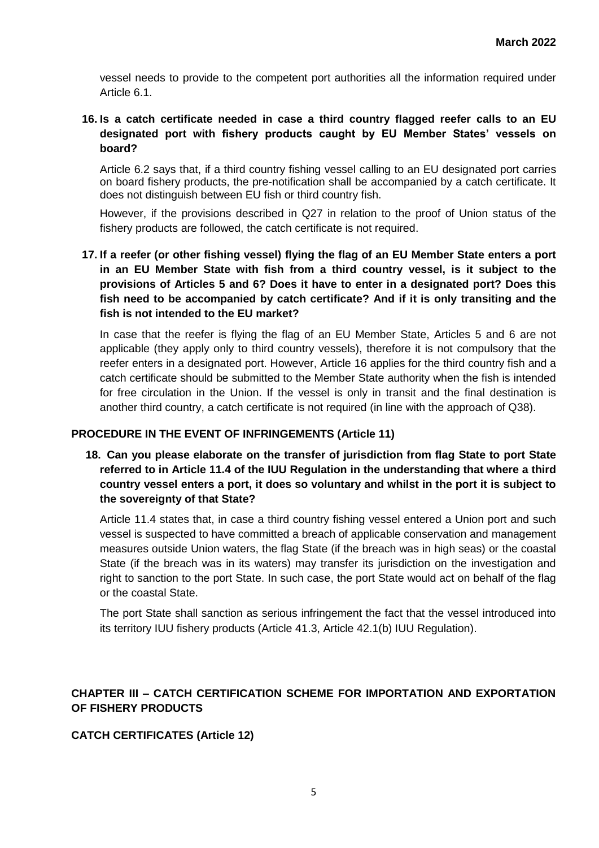vessel needs to provide to the competent port authorities all the information required under Article 6.1.

# **16. Is a catch certificate needed in case a third country flagged reefer calls to an EU designated port with fishery products caught by EU Member States' vessels on board?**

Article 6.2 says that, if a third country fishing vessel calling to an EU designated port carries on board fishery products, the pre-notification shall be accompanied by a catch certificate. It does not distinguish between EU fish or third country fish.

However, if the provisions described in Q27 in relation to the proof of Union status of the fishery products are followed, the catch certificate is not required.

# **17. If a reefer (or other fishing vessel) flying the flag of an EU Member State enters a port in an EU Member State with fish from a third country vessel, is it subject to the provisions of Articles 5 and 6? Does it have to enter in a designated port? Does this fish need to be accompanied by catch certificate? And if it is only transiting and the fish is not intended to the EU market?**

In case that the reefer is flying the flag of an EU Member State, Articles 5 and 6 are not applicable (they apply only to third country vessels), therefore it is not compulsory that the reefer enters in a designated port. However, Article 16 applies for the third country fish and a catch certificate should be submitted to the Member State authority when the fish is intended for free circulation in the Union. If the vessel is only in transit and the final destination is another third country, a catch certificate is not required (in line with the approach of Q38).

### **PROCEDURE IN THE EVENT OF INFRINGEMENTS (Article 11)**

**18. Can you please elaborate on the transfer of jurisdiction from flag State to port State referred to in Article 11.4 of the IUU Regulation in the understanding that where a third country vessel enters a port, it does so voluntary and whilst in the port it is subject to the sovereignty of that State?**

Article 11.4 states that, in case a third country fishing vessel entered a Union port and such vessel is suspected to have committed a breach of applicable conservation and management measures outside Union waters, the flag State (if the breach was in high seas) or the coastal State (if the breach was in its waters) may transfer its jurisdiction on the investigation and right to sanction to the port State. In such case, the port State would act on behalf of the flag or the coastal State.

The port State shall sanction as serious infringement the fact that the vessel introduced into its territory IUU fishery products (Article 41.3, Article 42.1(b) IUU Regulation).

# **CHAPTER III – CATCH CERTIFICATION SCHEME FOR IMPORTATION AND EXPORTATION OF FISHERY PRODUCTS**

### **CATCH CERTIFICATES (Article 12)**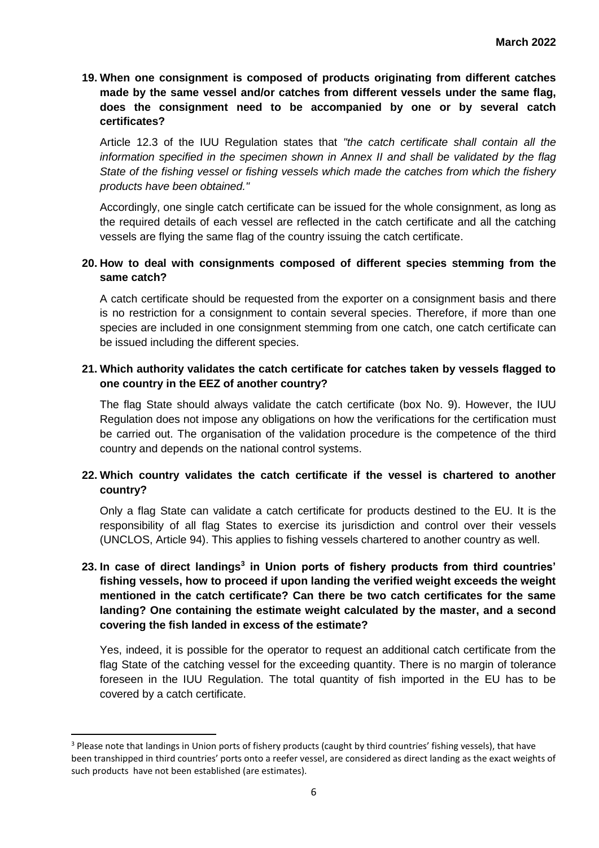**19. When one consignment is composed of products originating from different catches made by the same vessel and/or catches from different vessels under the same flag, does the consignment need to be accompanied by one or by several catch certificates?** 

Article 12.3 of the IUU Regulation states that *"the catch certificate shall contain all the information specified in the specimen shown in Annex II and shall be validated by the flag State of the fishing vessel or fishing vessels which made the catches from which the fishery products have been obtained."*

Accordingly, one single catch certificate can be issued for the whole consignment, as long as the required details of each vessel are reflected in the catch certificate and all the catching vessels are flying the same flag of the country issuing the catch certificate.

# **20. How to deal with consignments composed of different species stemming from the same catch?**

A catch certificate should be requested from the exporter on a consignment basis and there is no restriction for a consignment to contain several species. Therefore, if more than one species are included in one consignment stemming from one catch, one catch certificate can be issued including the different species.

# **21. Which authority validates the catch certificate for catches taken by vessels flagged to one country in the EEZ of another country?**

The flag State should always validate the catch certificate (box No. 9). However, the IUU Regulation does not impose any obligations on how the verifications for the certification must be carried out. The organisation of the validation procedure is the competence of the third country and depends on the national control systems.

# **22. Which country validates the catch certificate if the vessel is chartered to another country?**

Only a flag State can validate a catch certificate for products destined to the EU. It is the responsibility of all flag States to exercise its jurisdiction and control over their vessels (UNCLOS, Article 94). This applies to fishing vessels chartered to another country as well.

# **23. In case of direct landings<sup>3</sup> in Union ports of fishery products from third countries' fishing vessels, how to proceed if upon landing the verified weight exceeds the weight mentioned in the catch certificate? Can there be two catch certificates for the same landing? One containing the estimate weight calculated by the master, and a second covering the fish landed in excess of the estimate?**

Yes, indeed, it is possible for the operator to request an additional catch certificate from the flag State of the catching vessel for the exceeding quantity. There is no margin of tolerance foreseen in the IUU Regulation. The total quantity of fish imported in the EU has to be covered by a catch certificate.

 $\overline{\phantom{a}}$ 

<sup>&</sup>lt;sup>3</sup> Please note that landings in Union ports of fishery products (caught by third countries' fishing vessels), that have been transhipped in third countries' ports onto a reefer vessel, are considered as direct landing as the exact weights of such products have not been established (are estimates).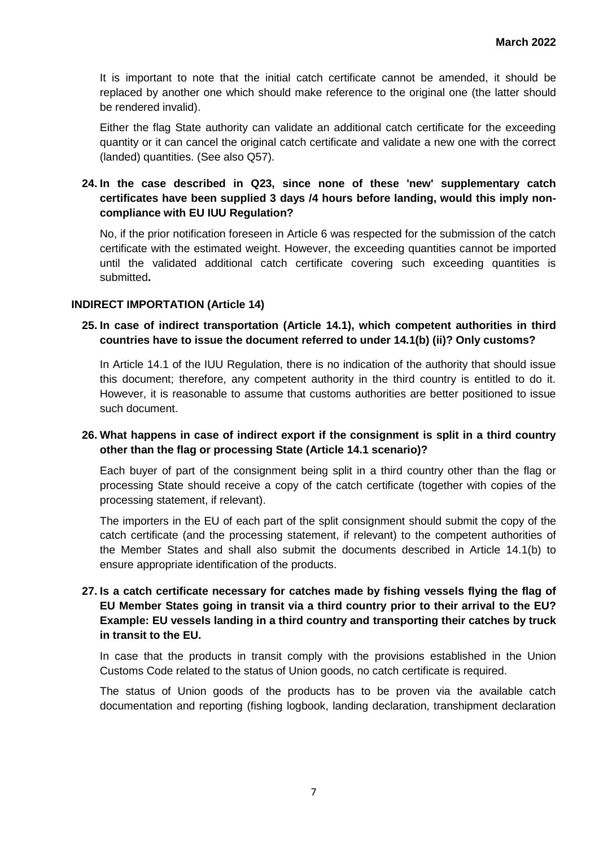It is important to note that the initial catch certificate cannot be amended, it should be replaced by another one which should make reference to the original one (the latter should be rendered invalid).

Either the flag State authority can validate an additional catch certificate for the exceeding quantity or it can cancel the original catch certificate and validate a new one with the correct (landed) quantities. (See also Q57).

# **24. In the case described in Q23, since none of these 'new' supplementary catch certificates have been supplied 3 days /4 hours before landing, would this imply noncompliance with EU IUU Regulation?**

No, if the prior notification foreseen in Article 6 was respected for the submission of the catch certificate with the estimated weight. However, the exceeding quantities cannot be imported until the validated additional catch certificate covering such exceeding quantities is submitted**.**

### **INDIRECT IMPORTATION (Article 14)**

### **25. In case of indirect transportation (Article 14.1), which competent authorities in third countries have to issue the document referred to under 14.1(b) (ii)? Only customs?**

In Article 14.1 of the IUU Regulation, there is no indication of the authority that should issue this document; therefore, any competent authority in the third country is entitled to do it. However, it is reasonable to assume that customs authorities are better positioned to issue such document.

### **26. What happens in case of indirect export if the consignment is split in a third country other than the flag or processing State (Article 14.1 scenario)?**

Each buyer of part of the consignment being split in a third country other than the flag or processing State should receive a copy of the catch certificate (together with copies of the processing statement, if relevant).

The importers in the EU of each part of the split consignment should submit the copy of the catch certificate (and the processing statement, if relevant) to the competent authorities of the Member States and shall also submit the documents described in Article 14.1(b) to ensure appropriate identification of the products.

# **27. Is a catch certificate necessary for catches made by fishing vessels flying the flag of EU Member States going in transit via a third country prior to their arrival to the EU? Example: EU vessels landing in a third country and transporting their catches by truck in transit to the EU.**

In case that the products in transit comply with the provisions established in the Union Customs Code related to the status of Union goods, no catch certificate is required.

The status of Union goods of the products has to be proven via the available catch documentation and reporting (fishing logbook, landing declaration, transhipment declaration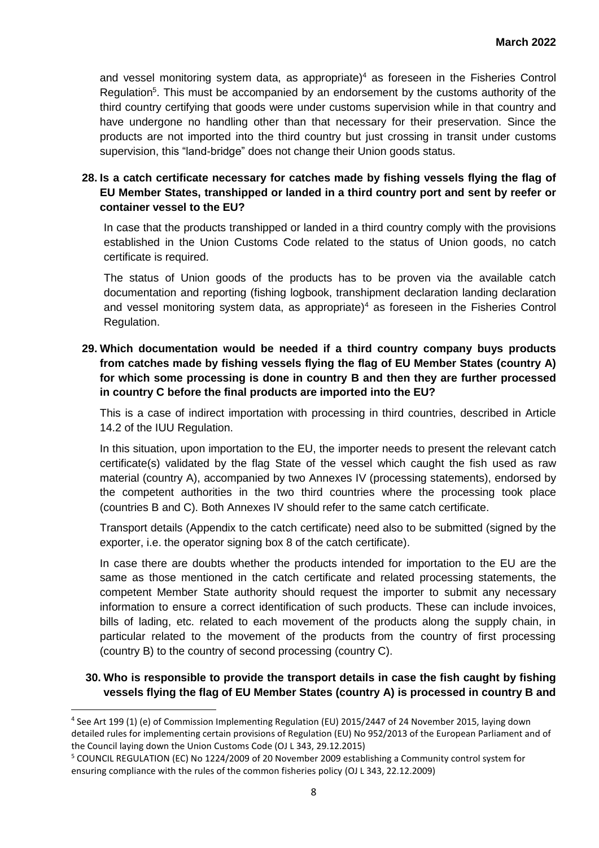and vessel monitoring system data, as appropriate) <sup>4</sup> as foreseen in the Fisheries Control Regulation<sup>5</sup>. This must be accompanied by an endorsement by the customs authority of the third country certifying that goods were under customs supervision while in that country and have undergone no handling other than that necessary for their preservation. Since the products are not imported into the third country but just crossing in transit under customs supervision, this "land-bridge" does not change their Union goods status.

# **28. Is a catch certificate necessary for catches made by fishing vessels flying the flag of EU Member States, transhipped or landed in a third country port and sent by reefer or container vessel to the EU?**

In case that the products transhipped or landed in a third country comply with the provisions established in the Union Customs Code related to the status of Union goods, no catch certificate is required.

The status of Union goods of the products has to be proven via the available catch documentation and reporting (fishing logbook, transhipment declaration landing declaration and vessel monitoring system data, as appropriate)<sup>4</sup> as foreseen in the Fisheries Control Regulation.

# **29. Which documentation would be needed if a third country company buys products from catches made by fishing vessels flying the flag of EU Member States (country A) for which some processing is done in country B and then they are further processed in country C before the final products are imported into the EU?**

This is a case of indirect importation with processing in third countries, described in Article 14.2 of the IUU Regulation.

In this situation, upon importation to the EU, the importer needs to present the relevant catch certificate(s) validated by the flag State of the vessel which caught the fish used as raw material (country A), accompanied by two Annexes IV (processing statements), endorsed by the competent authorities in the two third countries where the processing took place (countries B and C). Both Annexes IV should refer to the same catch certificate.

Transport details (Appendix to the catch certificate) need also to be submitted (signed by the exporter, i.e. the operator signing box 8 of the catch certificate).

In case there are doubts whether the products intended for importation to the EU are the same as those mentioned in the catch certificate and related processing statements, the competent Member State authority should request the importer to submit any necessary information to ensure a correct identification of such products. These can include invoices, bills of lading, etc. related to each movement of the products along the supply chain, in particular related to the movement of the products from the country of first processing (country B) to the country of second processing (country C).

# **30. Who is responsible to provide the transport details in case the fish caught by fishing vessels flying the flag of EU Member States (country A) is processed in country B and**

 $\overline{\phantom{a}}$ 

<sup>4</sup> See Art 199 (1) (e) of Commission Implementing Regulation (EU) 2015/2447 of 24 November 2015, laying down detailed rules for implementing certain provisions of Regulation (EU) No 952/2013 of the European Parliament and of the Council laying down the Union Customs Code (OJ L 343, 29.12.2015)

<sup>5</sup> COUNCIL REGULATION (EC) No 1224/2009 of 20 November 2009 establishing a Community control system for ensuring compliance with the rules of the common fisheries policy (OJ L 343, 22.12.2009)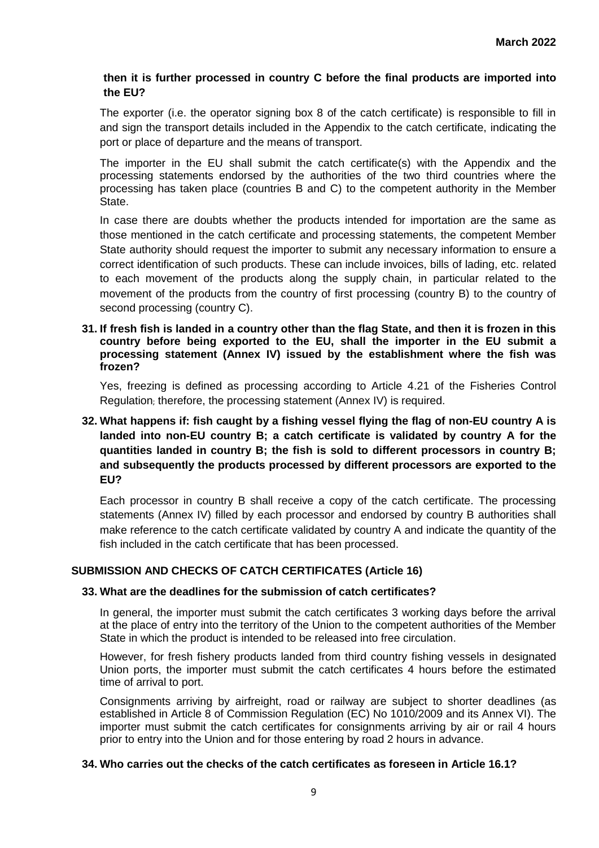### **then it is further processed in country C before the final products are imported into the EU?**

The exporter (i.e. the operator signing box 8 of the catch certificate) is responsible to fill in and sign the transport details included in the Appendix to the catch certificate, indicating the port or place of departure and the means of transport.

The importer in the EU shall submit the catch certificate(s) with the Appendix and the processing statements endorsed by the authorities of the two third countries where the processing has taken place (countries B and C) to the competent authority in the Member State.

In case there are doubts whether the products intended for importation are the same as those mentioned in the catch certificate and processing statements, the competent Member State authority should request the importer to submit any necessary information to ensure a correct identification of such products. These can include invoices, bills of lading, etc. related to each movement of the products along the supply chain, in particular related to the movement of the products from the country of first processing (country B) to the country of second processing (country C).

**31. If fresh fish is landed in a country other than the flag State, and then it is frozen in this country before being exported to the EU, shall the importer in the EU submit a processing statement (Annex IV) issued by the establishment where the fish was frozen?** 

Yes, freezing is defined as processing according to Article 4.21 of the Fisheries Control Regulation; therefore, the processing statement (Annex IV) is required.

# **32. What happens if: fish caught by a fishing vessel flying the flag of non-EU country A is landed into non-EU country B; a catch certificate is validated by country A for the quantities landed in country B; the fish is sold to different processors in country B; and subsequently the products processed by different processors are exported to the EU?**

Each processor in country B shall receive a copy of the catch certificate. The processing statements (Annex IV) filled by each processor and endorsed by country B authorities shall make reference to the catch certificate validated by country A and indicate the quantity of the fish included in the catch certificate that has been processed.

### **SUBMISSION AND CHECKS OF CATCH CERTIFICATES (Article 16)**

### **33. What are the deadlines for the submission of catch certificates?**

In general, the importer must submit the catch certificates 3 working days before the arrival at the place of entry into the territory of the Union to the competent authorities of the Member State in which the product is intended to be released into free circulation.

However, for fresh fishery products landed from third country fishing vessels in designated Union ports, the importer must submit the catch certificates 4 hours before the estimated time of arrival to port.

Consignments arriving by airfreight, road or railway are subject to shorter deadlines (as established in Article 8 of Commission Regulation (EC) No 1010/2009 and its Annex VI). The importer must submit the catch certificates for consignments arriving by air or rail 4 hours prior to entry into the Union and for those entering by road 2 hours in advance.

#### **34. Who carries out the checks of the catch certificates as foreseen in Article 16.1?**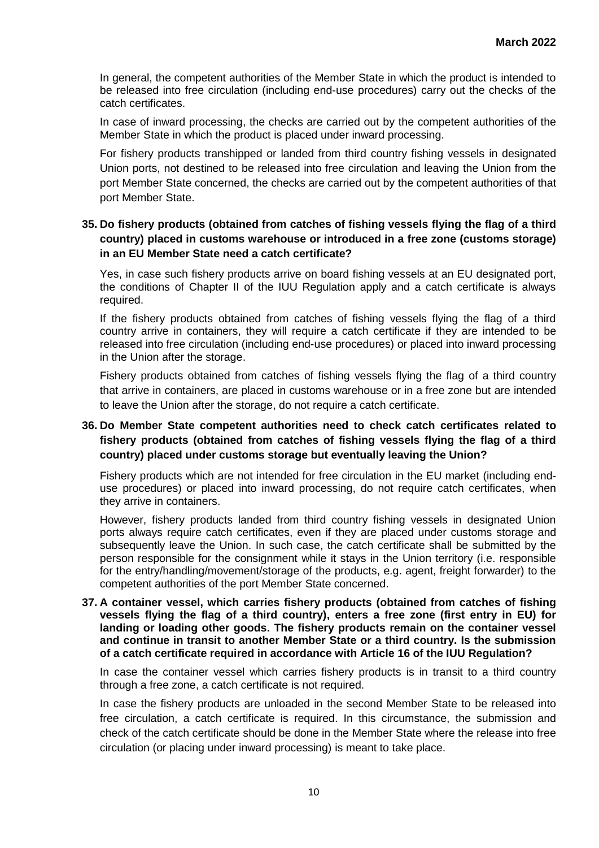In general, the competent authorities of the Member State in which the product is intended to be released into free circulation (including end-use procedures) carry out the checks of the catch certificates.

In case of inward processing, the checks are carried out by the competent authorities of the Member State in which the product is placed under inward processing.

For fishery products transhipped or landed from third country fishing vessels in designated Union ports, not destined to be released into free circulation and leaving the Union from the port Member State concerned, the checks are carried out by the competent authorities of that port Member State.

# **35. Do fishery products (obtained from catches of fishing vessels flying the flag of a third country) placed in customs warehouse or introduced in a free zone (customs storage) in an EU Member State need a catch certificate?**

Yes, in case such fishery products arrive on board fishing vessels at an EU designated port, the conditions of Chapter II of the IUU Regulation apply and a catch certificate is always required.

If the fishery products obtained from catches of fishing vessels flying the flag of a third country arrive in containers, they will require a catch certificate if they are intended to be released into free circulation (including end-use procedures) or placed into inward processing in the Union after the storage.

Fishery products obtained from catches of fishing vessels flying the flag of a third country that arrive in containers, are placed in customs warehouse or in a free zone but are intended to leave the Union after the storage, do not require a catch certificate.

# **36. Do Member State competent authorities need to check catch certificates related to fishery products (obtained from catches of fishing vessels flying the flag of a third country) placed under customs storage but eventually leaving the Union?**

Fishery products which are not intended for free circulation in the EU market (including enduse procedures) or placed into inward processing, do not require catch certificates, when they arrive in containers.

However, fishery products landed from third country fishing vessels in designated Union ports always require catch certificates, even if they are placed under customs storage and subsequently leave the Union. In such case, the catch certificate shall be submitted by the person responsible for the consignment while it stays in the Union territory (i.e. responsible for the entry/handling/movement/storage of the products, e.g. agent, freight forwarder) to the competent authorities of the port Member State concerned.

#### **37. A container vessel, which carries fishery products (obtained from catches of fishing vessels flying the flag of a third country), enters a free zone (first entry in EU) for landing or loading other goods. The fishery products remain on the container vessel and continue in transit to another Member State or a third country. Is the submission of a catch certificate required in accordance with Article 16 of the IUU Regulation?**

In case the container vessel which carries fishery products is in transit to a third country through a free zone, a catch certificate is not required.

In case the fishery products are unloaded in the second Member State to be released into free circulation, a catch certificate is required. In this circumstance, the submission and check of the catch certificate should be done in the Member State where the release into free circulation (or placing under inward processing) is meant to take place.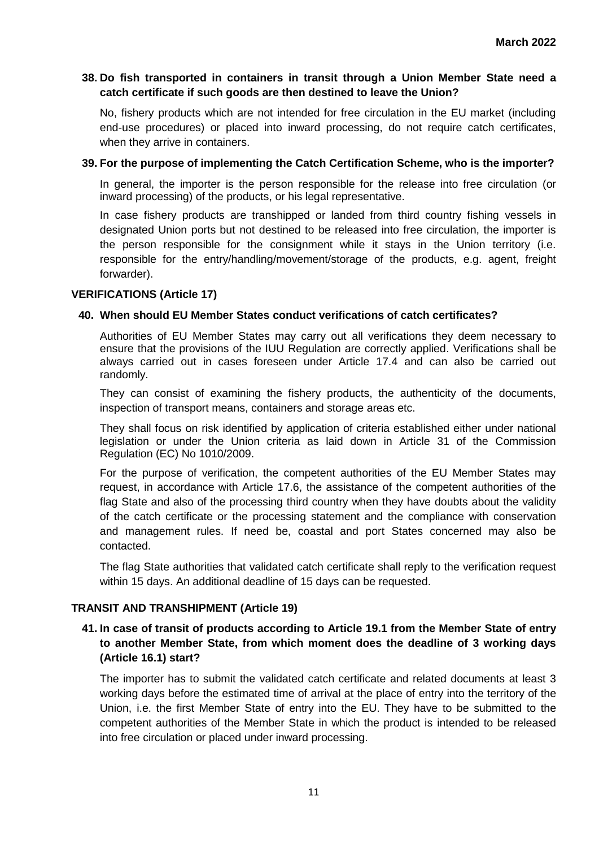### **38. Do fish transported in containers in transit through a Union Member State need a catch certificate if such goods are then destined to leave the Union?**

No, fishery products which are not intended for free circulation in the EU market (including end-use procedures) or placed into inward processing, do not require catch certificates, when they arrive in containers.

### **39. For the purpose of implementing the Catch Certification Scheme, who is the importer?**

In general, the importer is the person responsible for the release into free circulation (or inward processing) of the products, or his legal representative.

In case fishery products are transhipped or landed from third country fishing vessels in designated Union ports but not destined to be released into free circulation, the importer is the person responsible for the consignment while it stays in the Union territory (i.e. responsible for the entry/handling/movement/storage of the products, e.g. agent, freight forwarder).

#### **VERIFICATIONS (Article 17)**

#### **40. When should EU Member States conduct verifications of catch certificates?**

Authorities of EU Member States may carry out all verifications they deem necessary to ensure that the provisions of the IUU Regulation are correctly applied. Verifications shall be always carried out in cases foreseen under Article 17.4 and can also be carried out randomly.

They can consist of examining the fishery products, the authenticity of the documents, inspection of transport means, containers and storage areas etc.

They shall focus on risk identified by application of criteria established either under national legislation or under the Union criteria as laid down in Article 31 of the Commission Regulation (EC) No 1010/2009.

For the purpose of verification, the competent authorities of the EU Member States may request, in accordance with Article 17.6, the assistance of the competent authorities of the flag State and also of the processing third country when they have doubts about the validity of the catch certificate or the processing statement and the compliance with conservation and management rules. If need be, coastal and port States concerned may also be contacted.

The flag State authorities that validated catch certificate shall reply to the verification request within 15 days. An additional deadline of 15 days can be requested.

#### **TRANSIT AND TRANSHIPMENT (Article 19)**

### **41. In case of transit of products according to Article 19.1 from the Member State of entry to another Member State, from which moment does the deadline of 3 working days (Article 16.1) start?**

The importer has to submit the validated catch certificate and related documents at least 3 working days before the estimated time of arrival at the place of entry into the territory of the Union, i.e. the first Member State of entry into the EU. They have to be submitted to the competent authorities of the Member State in which the product is intended to be released into free circulation or placed under inward processing.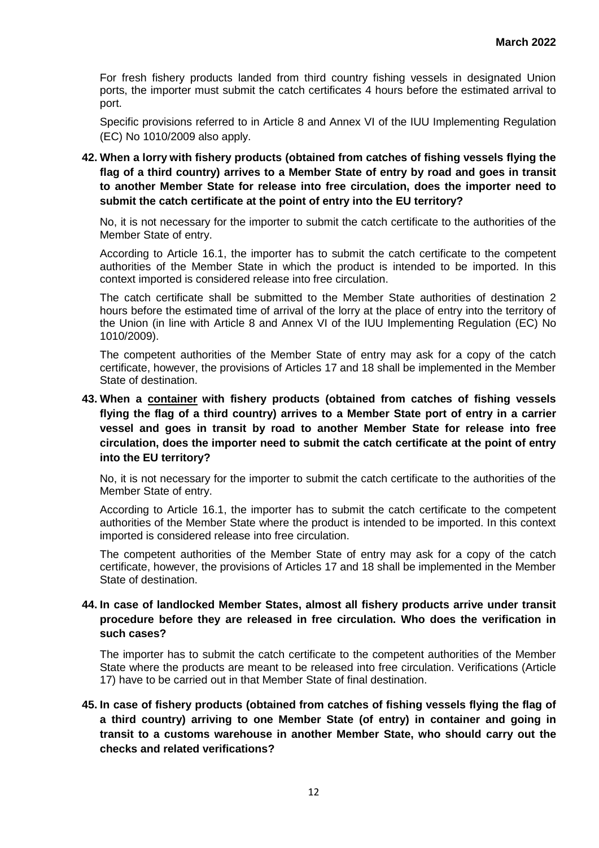For fresh fishery products landed from third country fishing vessels in designated Union ports, the importer must submit the catch certificates 4 hours before the estimated arrival to port.

Specific provisions referred to in Article 8 and Annex VI of the IUU Implementing Regulation (EC) No 1010/2009 also apply.

**42. When a lorry with fishery products (obtained from catches of fishing vessels flying the flag of a third country) arrives to a Member State of entry by road and goes in transit to another Member State for release into free circulation, does the importer need to submit the catch certificate at the point of entry into the EU territory?** 

No, it is not necessary for the importer to submit the catch certificate to the authorities of the Member State of entry.

According to Article 16.1, the importer has to submit the catch certificate to the competent authorities of the Member State in which the product is intended to be imported. In this context imported is considered release into free circulation.

The catch certificate shall be submitted to the Member State authorities of destination 2 hours before the estimated time of arrival of the lorry at the place of entry into the territory of the Union (in line with Article 8 and Annex VI of the IUU Implementing Regulation (EC) No 1010/2009).

The competent authorities of the Member State of entry may ask for a copy of the catch certificate, however, the provisions of Articles 17 and 18 shall be implemented in the Member State of destination.

**43. When a container with fishery products (obtained from catches of fishing vessels flying the flag of a third country) arrives to a Member State port of entry in a carrier vessel and goes in transit by road to another Member State for release into free circulation, does the importer need to submit the catch certificate at the point of entry into the EU territory?** 

No, it is not necessary for the importer to submit the catch certificate to the authorities of the Member State of entry.

According to Article 16.1, the importer has to submit the catch certificate to the competent authorities of the Member State where the product is intended to be imported. In this context imported is considered release into free circulation.

The competent authorities of the Member State of entry may ask for a copy of the catch certificate, however, the provisions of Articles 17 and 18 shall be implemented in the Member State of destination.

### **44. In case of landlocked Member States, almost all fishery products arrive under transit procedure before they are released in free circulation. Who does the verification in such cases?**

The importer has to submit the catch certificate to the competent authorities of the Member State where the products are meant to be released into free circulation. Verifications (Article 17) have to be carried out in that Member State of final destination.

**45. In case of fishery products (obtained from catches of fishing vessels flying the flag of a third country) arriving to one Member State (of entry) in container and going in transit to a customs warehouse in another Member State, who should carry out the checks and related verifications?**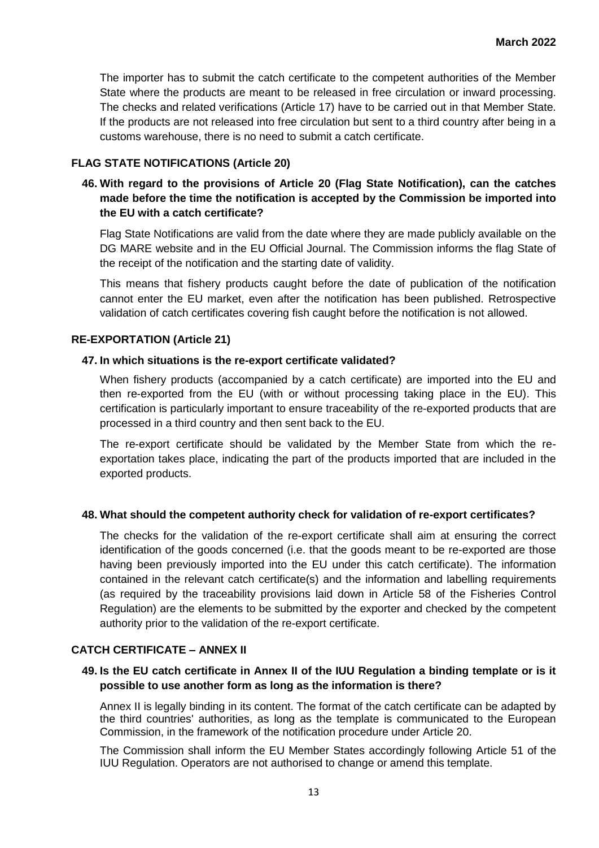The importer has to submit the catch certificate to the competent authorities of the Member State where the products are meant to be released in free circulation or inward processing. The checks and related verifications (Article 17) have to be carried out in that Member State. If the products are not released into free circulation but sent to a third country after being in a customs warehouse, there is no need to submit a catch certificate.

### **FLAG STATE NOTIFICATIONS (Article 20)**

# **46. With regard to the provisions of Article 20 (Flag State Notification), can the catches made before the time the notification is accepted by the Commission be imported into the EU with a catch certificate?**

Flag State Notifications are valid from the date where they are made publicly available on the DG MARE website and in the EU Official Journal. The Commission informs the flag State of the receipt of the notification and the starting date of validity.

This means that fishery products caught before the date of publication of the notification cannot enter the EU market, even after the notification has been published. Retrospective validation of catch certificates covering fish caught before the notification is not allowed.

#### **RE-EXPORTATION (Article 21)**

#### **47. In which situations is the re-export certificate validated?**

When fishery products (accompanied by a catch certificate) are imported into the EU and then re-exported from the EU (with or without processing taking place in the EU). This certification is particularly important to ensure traceability of the re-exported products that are processed in a third country and then sent back to the EU.

The re-export certificate should be validated by the Member State from which the reexportation takes place, indicating the part of the products imported that are included in the exported products.

### **48. What should the competent authority check for validation of re-export certificates?**

The checks for the validation of the re-export certificate shall aim at ensuring the correct identification of the goods concerned (i.e. that the goods meant to be re-exported are those having been previously imported into the EU under this catch certificate). The information contained in the relevant catch certificate(s) and the information and labelling requirements (as required by the traceability provisions laid down in Article 58 of the Fisheries Control Regulation) are the elements to be submitted by the exporter and checked by the competent authority prior to the validation of the re-export certificate.

#### **CATCH CERTIFICATE – ANNEX II**

### **49. Is the EU catch certificate in Annex II of the IUU Regulation a binding template or is it possible to use another form as long as the information is there?**

Annex II is legally binding in its content. The format of the catch certificate can be adapted by the third countries' authorities, as long as the template is communicated to the European Commission, in the framework of the notification procedure under Article 20.

The Commission shall inform the EU Member States accordingly following Article 51 of the IUU Regulation. Operators are not authorised to change or amend this template.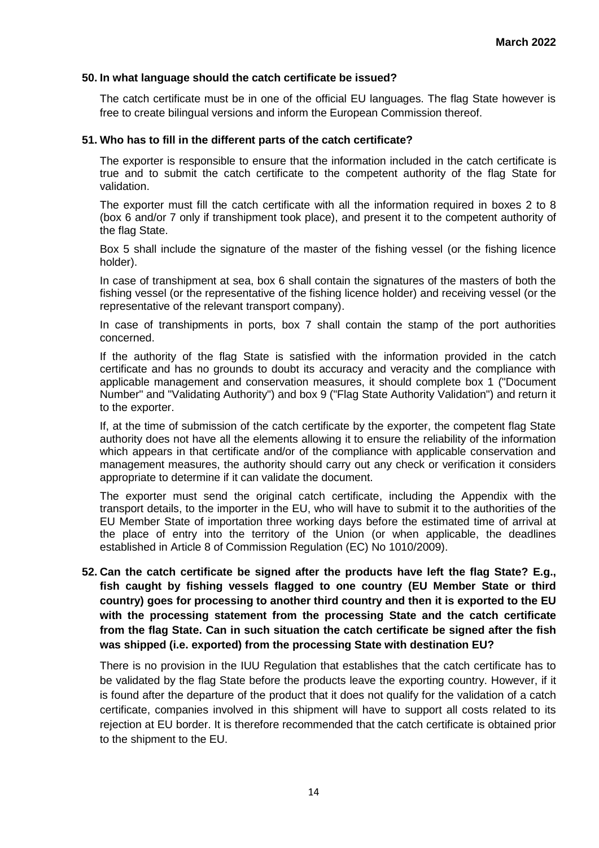#### **50. In what language should the catch certificate be issued?**

The catch certificate must be in one of the official EU languages. The flag State however is free to create bilingual versions and inform the European Commission thereof.

#### **51. Who has to fill in the different parts of the catch certificate?**

The exporter is responsible to ensure that the information included in the catch certificate is true and to submit the catch certificate to the competent authority of the flag State for validation.

The exporter must fill the catch certificate with all the information required in boxes 2 to 8 (box 6 and/or 7 only if transhipment took place), and present it to the competent authority of the flag State.

Box 5 shall include the signature of the master of the fishing vessel (or the fishing licence holder).

In case of transhipment at sea, box 6 shall contain the signatures of the masters of both the fishing vessel (or the representative of the fishing licence holder) and receiving vessel (or the representative of the relevant transport company).

In case of transhipments in ports, box 7 shall contain the stamp of the port authorities concerned.

If the authority of the flag State is satisfied with the information provided in the catch certificate and has no grounds to doubt its accuracy and veracity and the compliance with applicable management and conservation measures, it should complete box 1 ("Document Number" and "Validating Authority") and box 9 ("Flag State Authority Validation") and return it to the exporter.

If, at the time of submission of the catch certificate by the exporter, the competent flag State authority does not have all the elements allowing it to ensure the reliability of the information which appears in that certificate and/or of the compliance with applicable conservation and management measures, the authority should carry out any check or verification it considers appropriate to determine if it can validate the document.

The exporter must send the original catch certificate, including the Appendix with the transport details, to the importer in the EU, who will have to submit it to the authorities of the EU Member State of importation three working days before the estimated time of arrival at the place of entry into the territory of the Union (or when applicable, the deadlines established in Article 8 of Commission Regulation (EC) No 1010/2009).

**52. Can the catch certificate be signed after the products have left the flag State? E.g., fish caught by fishing vessels flagged to one country (EU Member State or third country) goes for processing to another third country and then it is exported to the EU with the processing statement from the processing State and the catch certificate from the flag State. Can in such situation the catch certificate be signed after the fish was shipped (i.e. exported) from the processing State with destination EU?**

There is no provision in the IUU Regulation that establishes that the catch certificate has to be validated by the flag State before the products leave the exporting country. However, if it is found after the departure of the product that it does not qualify for the validation of a catch certificate, companies involved in this shipment will have to support all costs related to its rejection at EU border. It is therefore recommended that the catch certificate is obtained prior to the shipment to the EU.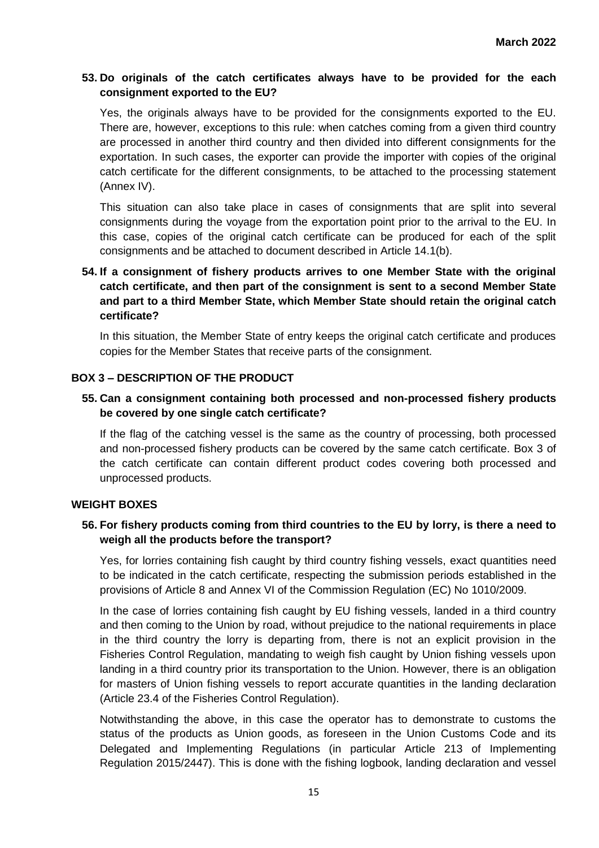# **53. Do originals of the catch certificates always have to be provided for the each consignment exported to the EU?**

Yes, the originals always have to be provided for the consignments exported to the EU. There are, however, exceptions to this rule: when catches coming from a given third country are processed in another third country and then divided into different consignments for the exportation. In such cases, the exporter can provide the importer with copies of the original catch certificate for the different consignments, to be attached to the processing statement (Annex IV).

This situation can also take place in cases of consignments that are split into several consignments during the voyage from the exportation point prior to the arrival to the EU. In this case, copies of the original catch certificate can be produced for each of the split consignments and be attached to document described in Article 14.1(b).

# **54. If a consignment of fishery products arrives to one Member State with the original catch certificate, and then part of the consignment is sent to a second Member State and part to a third Member State, which Member State should retain the original catch certificate?**

In this situation, the Member State of entry keeps the original catch certificate and produces copies for the Member States that receive parts of the consignment.

# **BOX 3 – DESCRIPTION OF THE PRODUCT**

# **55. Can a consignment containing both processed and non-processed fishery products be covered by one single catch certificate?**

If the flag of the catching vessel is the same as the country of processing, both processed and non-processed fishery products can be covered by the same catch certificate. Box 3 of the catch certificate can contain different product codes covering both processed and unprocessed products.

### **WEIGHT BOXES**

### **56. For fishery products coming from third countries to the EU by lorry, is there a need to weigh all the products before the transport?**

Yes, for lorries containing fish caught by third country fishing vessels, exact quantities need to be indicated in the catch certificate, respecting the submission periods established in the provisions of Article 8 and Annex VI of the Commission Regulation (EC) No 1010/2009.

In the case of lorries containing fish caught by EU fishing vessels, landed in a third country and then coming to the Union by road, without prejudice to the national requirements in place in the third country the lorry is departing from, there is not an explicit provision in the Fisheries Control Regulation, mandating to weigh fish caught by Union fishing vessels upon landing in a third country prior its transportation to the Union. However, there is an obligation for masters of Union fishing vessels to report accurate quantities in the landing declaration (Article 23.4 of the Fisheries Control Regulation).

Notwithstanding the above, in this case the operator has to demonstrate to customs the status of the products as Union goods, as foreseen in the Union Customs Code and its Delegated and Implementing Regulations (in particular Article 213 of Implementing Regulation 2015/2447). This is done with the fishing logbook, landing declaration and vessel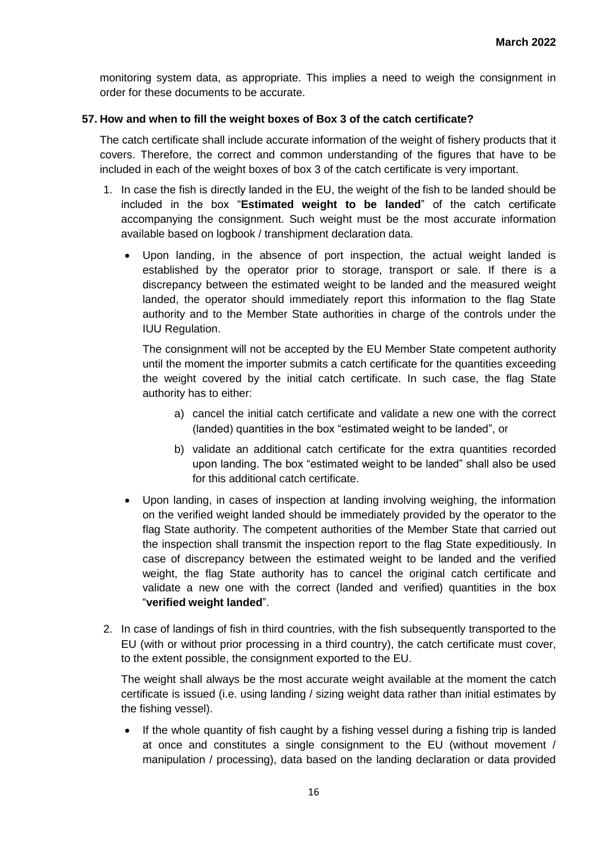monitoring system data, as appropriate. This implies a need to weigh the consignment in order for these documents to be accurate.

# **57. How and when to fill the weight boxes of Box 3 of the catch certificate?**

The catch certificate shall include accurate information of the weight of fishery products that it covers. Therefore, the correct and common understanding of the figures that have to be included in each of the weight boxes of box 3 of the catch certificate is very important.

- 1. In case the fish is directly landed in the EU, the weight of the fish to be landed should be included in the box "**Estimated weight to be landed**" of the catch certificate accompanying the consignment. Such weight must be the most accurate information available based on logbook / transhipment declaration data.
	- Upon landing, in the absence of port inspection, the actual weight landed is established by the operator prior to storage, transport or sale. If there is a discrepancy between the estimated weight to be landed and the measured weight landed, the operator should immediately report this information to the flag State authority and to the Member State authorities in charge of the controls under the IUU Regulation.

The consignment will not be accepted by the EU Member State competent authority until the moment the importer submits a catch certificate for the quantities exceeding the weight covered by the initial catch certificate. In such case, the flag State authority has to either:

- a) cancel the initial catch certificate and validate a new one with the correct (landed) quantities in the box "estimated weight to be landed", or
- b) validate an additional catch certificate for the extra quantities recorded upon landing. The box "estimated weight to be landed" shall also be used for this additional catch certificate.
- Upon landing, in cases of inspection at landing involving weighing, the information on the verified weight landed should be immediately provided by the operator to the flag State authority. The competent authorities of the Member State that carried out the inspection shall transmit the inspection report to the flag State expeditiously. In case of discrepancy between the estimated weight to be landed and the verified weight, the flag State authority has to cancel the original catch certificate and validate a new one with the correct (landed and verified) quantities in the box "**verified weight landed**".
- 2. In case of landings of fish in third countries, with the fish subsequently transported to the EU (with or without prior processing in a third country), the catch certificate must cover, to the extent possible, the consignment exported to the EU.

The weight shall always be the most accurate weight available at the moment the catch certificate is issued (i.e. using landing / sizing weight data rather than initial estimates by the fishing vessel).

 If the whole quantity of fish caught by a fishing vessel during a fishing trip is landed at once and constitutes a single consignment to the EU (without movement / manipulation / processing), data based on the landing declaration or data provided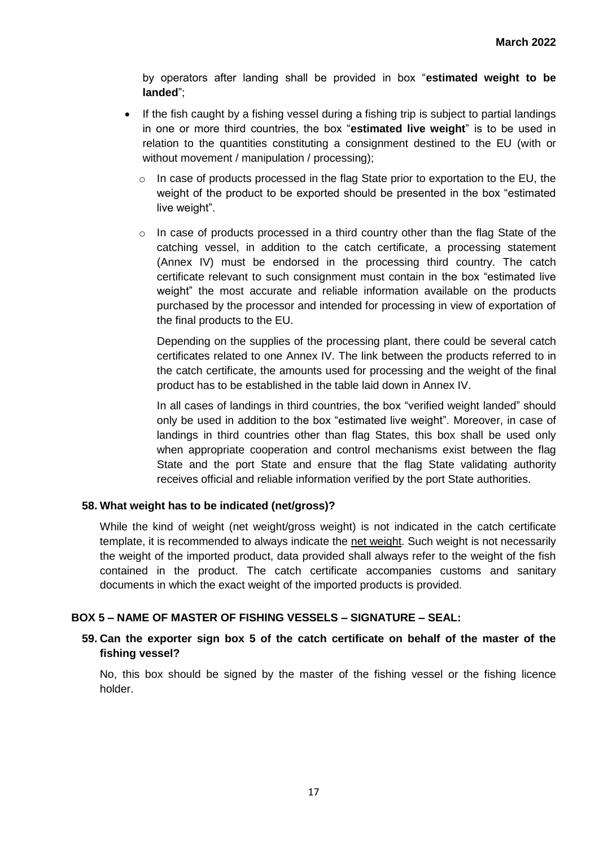by operators after landing shall be provided in box "**estimated weight to be landed**";

- If the fish caught by a fishing vessel during a fishing trip is subject to partial landings in one or more third countries, the box "**estimated live weight**" is to be used in relation to the quantities constituting a consignment destined to the EU (with or without movement / manipulation / processing);
	- o In case of products processed in the flag State prior to exportation to the EU, the weight of the product to be exported should be presented in the box "estimated live weight".
	- $\circ$  In case of products processed in a third country other than the flag State of the catching vessel, in addition to the catch certificate, a processing statement (Annex IV) must be endorsed in the processing third country. The catch certificate relevant to such consignment must contain in the box "estimated live weight" the most accurate and reliable information available on the products purchased by the processor and intended for processing in view of exportation of the final products to the EU.

Depending on the supplies of the processing plant, there could be several catch certificates related to one Annex IV. The link between the products referred to in the catch certificate, the amounts used for processing and the weight of the final product has to be established in the table laid down in Annex IV.

In all cases of landings in third countries, the box "verified weight landed" should only be used in addition to the box "estimated live weight". Moreover, in case of landings in third countries other than flag States, this box shall be used only when appropriate cooperation and control mechanisms exist between the flag State and the port State and ensure that the flag State validating authority receives official and reliable information verified by the port State authorities.

### **58. What weight has to be indicated (net/gross)?**

While the kind of weight (net weight/gross weight) is not indicated in the catch certificate template, it is recommended to always indicate the net weight. Such weight is not necessarily the weight of the imported product, data provided shall always refer to the weight of the fish contained in the product. The catch certificate accompanies customs and sanitary documents in which the exact weight of the imported products is provided.

### **BOX 5 – NAME OF MASTER OF FISHING VESSELS – SIGNATURE – SEAL:**

### **59. Can the exporter sign box 5 of the catch certificate on behalf of the master of the fishing vessel?**

No, this box should be signed by the master of the fishing vessel or the fishing licence holder.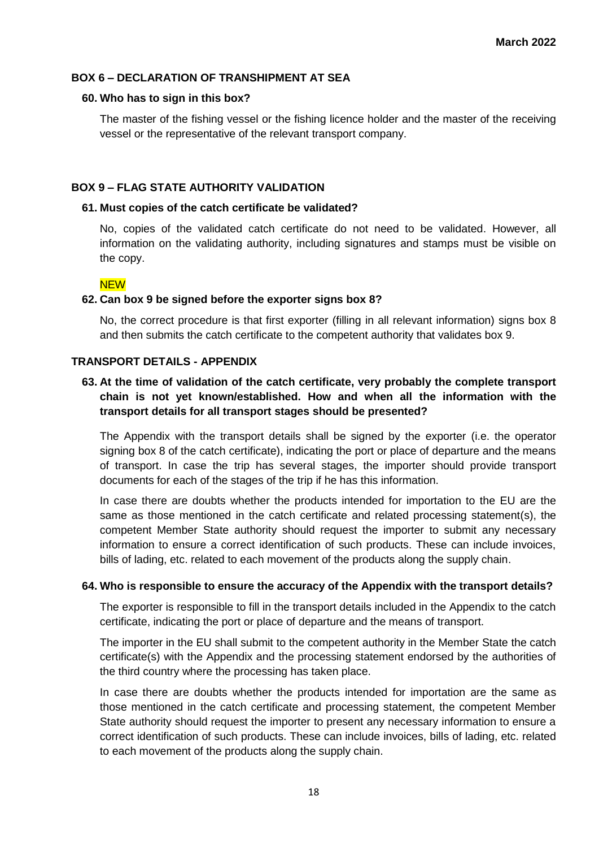### **BOX 6 – DECLARATION OF TRANSHIPMENT AT SEA**

### **60. Who has to sign in this box?**

The master of the fishing vessel or the fishing licence holder and the master of the receiving vessel or the representative of the relevant transport company.

### **BOX 9 – FLAG STATE AUTHORITY VALIDATION**

### **61. Must copies of the catch certificate be validated?**

No, copies of the validated catch certificate do not need to be validated. However, all information on the validating authority, including signatures and stamps must be visible on the copy.

### **NFW**

### **62. Can box 9 be signed before the exporter signs box 8?**

No, the correct procedure is that first exporter (filling in all relevant information) signs box 8 and then submits the catch certificate to the competent authority that validates box 9.

### **TRANSPORT DETAILS - APPENDIX**

# **63. At the time of validation of the catch certificate, very probably the complete transport chain is not yet known/established. How and when all the information with the transport details for all transport stages should be presented?**

The Appendix with the transport details shall be signed by the exporter (i.e. the operator signing box 8 of the catch certificate), indicating the port or place of departure and the means of transport. In case the trip has several stages, the importer should provide transport documents for each of the stages of the trip if he has this information.

In case there are doubts whether the products intended for importation to the EU are the same as those mentioned in the catch certificate and related processing statement(s), the competent Member State authority should request the importer to submit any necessary information to ensure a correct identification of such products. These can include invoices, bills of lading, etc. related to each movement of the products along the supply chain.

#### **64. Who is responsible to ensure the accuracy of the Appendix with the transport details?**

The exporter is responsible to fill in the transport details included in the Appendix to the catch certificate, indicating the port or place of departure and the means of transport.

The importer in the EU shall submit to the competent authority in the Member State the catch certificate(s) with the Appendix and the processing statement endorsed by the authorities of the third country where the processing has taken place.

In case there are doubts whether the products intended for importation are the same as those mentioned in the catch certificate and processing statement, the competent Member State authority should request the importer to present any necessary information to ensure a correct identification of such products. These can include invoices, bills of lading, etc. related to each movement of the products along the supply chain.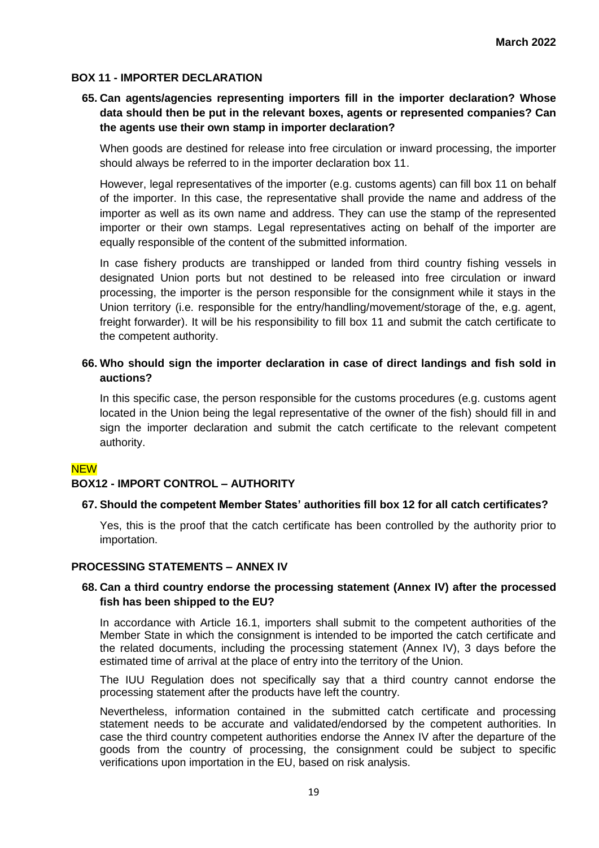### **BOX 11 - IMPORTER DECLARATION**

# **65. Can agents/agencies representing importers fill in the importer declaration? Whose data should then be put in the relevant boxes, agents or represented companies? Can the agents use their own stamp in importer declaration?**

When goods are destined for release into free circulation or inward processing, the importer should always be referred to in the importer declaration box 11.

However, legal representatives of the importer (e.g. customs agents) can fill box 11 on behalf of the importer. In this case, the representative shall provide the name and address of the importer as well as its own name and address. They can use the stamp of the represented importer or their own stamps. Legal representatives acting on behalf of the importer are equally responsible of the content of the submitted information.

In case fishery products are transhipped or landed from third country fishing vessels in designated Union ports but not destined to be released into free circulation or inward processing, the importer is the person responsible for the consignment while it stays in the Union territory (i.e. responsible for the entry/handling/movement/storage of the, e.g. agent, freight forwarder). It will be his responsibility to fill box 11 and submit the catch certificate to the competent authority.

### **66. Who should sign the importer declaration in case of direct landings and fish sold in auctions?**

In this specific case, the person responsible for the customs procedures (e.g. customs agent located in the Union being the legal representative of the owner of the fish) should fill in and sign the importer declaration and submit the catch certificate to the relevant competent authority.

#### **NEW**

### **BOX12 - IMPORT CONTROL – AUTHORITY**

### **67. Should the competent Member States' authorities fill box 12 for all catch certificates?**

Yes, this is the proof that the catch certificate has been controlled by the authority prior to importation.

#### **PROCESSING STATEMENTS – ANNEX IV**

### **68. Can a third country endorse the processing statement (Annex IV) after the processed fish has been shipped to the EU?**

In accordance with Article 16.1, importers shall submit to the competent authorities of the Member State in which the consignment is intended to be imported the catch certificate and the related documents, including the processing statement (Annex IV), 3 days before the estimated time of arrival at the place of entry into the territory of the Union.

The IUU Regulation does not specifically say that a third country cannot endorse the processing statement after the products have left the country.

Nevertheless, information contained in the submitted catch certificate and processing statement needs to be accurate and validated/endorsed by the competent authorities. In case the third country competent authorities endorse the Annex IV after the departure of the goods from the country of processing, the consignment could be subject to specific verifications upon importation in the EU, based on risk analysis.